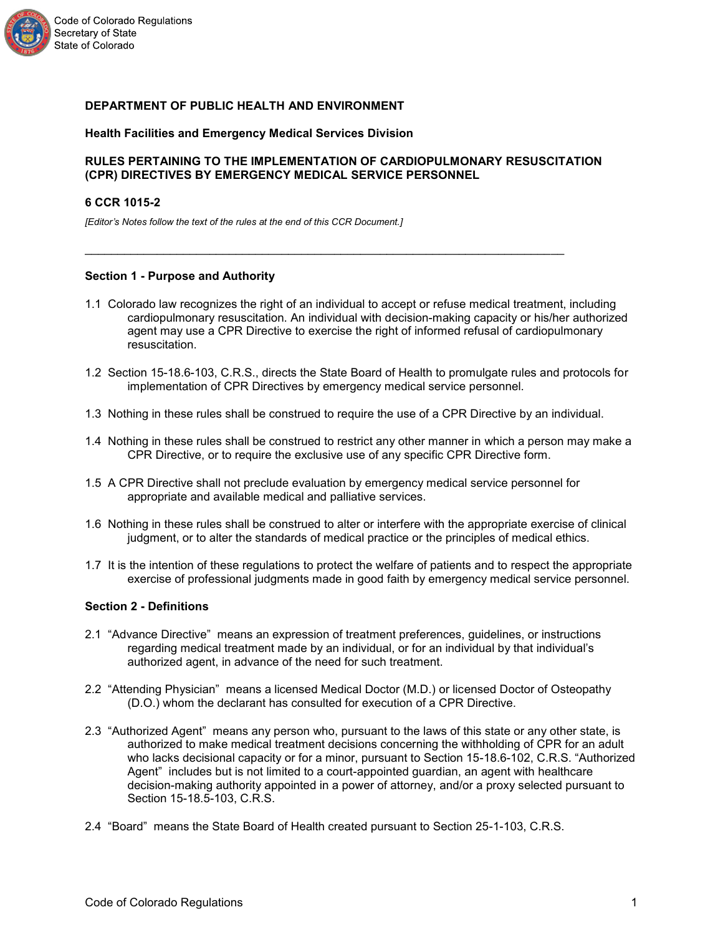

# **DEPARTMENT OF PUBLIC HEALTH AND ENVIRONMENT**

## **Health Facilities and Emergency Medical Services Division**

## **RULES PERTAINING TO THE IMPLEMENTATION OF CARDIOPULMONARY RESUSCITATION (CPR) DIRECTIVES BY EMERGENCY MEDICAL SERVICE PERSONNEL**

 $\mathcal{L}_\text{max}$  , and the set of the set of the set of the set of the set of the set of the set of the set of the set of the set of the set of the set of the set of the set of the set of the set of the set of the set of the

### **6 CCR 1015-2**

*[Editor's Notes follow the text of the rules at the end of this CCR Document.]*

## **Section 1 - Purpose and Authority**

- 1.1 Colorado law recognizes the right of an individual to accept or refuse medical treatment, including cardiopulmonary resuscitation. An individual with decision-making capacity or his/her authorized agent may use a CPR Directive to exercise the right of informed refusal of cardiopulmonary resuscitation.
- 1.2 Section 15-18.6-103, C.R.S., directs the State Board of Health to promulgate rules and protocols for implementation of CPR Directives by emergency medical service personnel.
- 1.3 Nothing in these rules shall be construed to require the use of a CPR Directive by an individual.
- 1.4 Nothing in these rules shall be construed to restrict any other manner in which a person may make a CPR Directive, or to require the exclusive use of any specific CPR Directive form.
- 1.5 A CPR Directive shall not preclude evaluation by emergency medical service personnel for appropriate and available medical and palliative services.
- 1.6 Nothing in these rules shall be construed to alter or interfere with the appropriate exercise of clinical judgment, or to alter the standards of medical practice or the principles of medical ethics.
- 1.7 It is the intention of these regulations to protect the welfare of patients and to respect the appropriate exercise of professional judgments made in good faith by emergency medical service personnel.

# **Section 2 - Definitions**

- 2.1 "Advance Directive" means an expression of treatment preferences, guidelines, or instructions regarding medical treatment made by an individual, or for an individual by that individual's authorized agent, in advance of the need for such treatment.
- 2.2 "Attending Physician" means a licensed Medical Doctor (M.D.) or licensed Doctor of Osteopathy (D.O.) whom the declarant has consulted for execution of a CPR Directive.
- 2.3 "Authorized Agent" means any person who, pursuant to the laws of this state or any other state, is authorized to make medical treatment decisions concerning the withholding of CPR for an adult who lacks decisional capacity or for a minor, pursuant to Section 15-18.6-102, C.R.S. "Authorized Agent" includes but is not limited to a court-appointed guardian, an agent with healthcare decision-making authority appointed in a power of attorney, and/or a proxy selected pursuant to Section 15-18.5-103, C.R.S.
- 2.4 "Board" means the State Board of Health created pursuant to Section 25-1-103, C.R.S.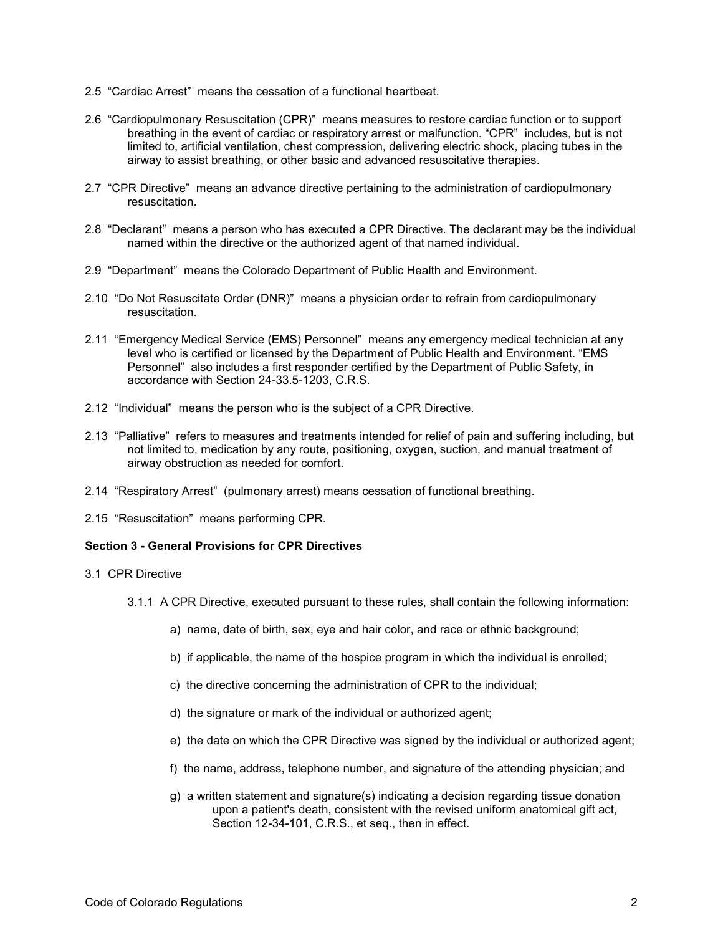- 2.5 "Cardiac Arrest" means the cessation of a functional heartbeat.
- 2.6 "Cardiopulmonary Resuscitation (CPR)" means measures to restore cardiac function or to support breathing in the event of cardiac or respiratory arrest or malfunction. "CPR" includes, but is not limited to, artificial ventilation, chest compression, delivering electric shock, placing tubes in the airway to assist breathing, or other basic and advanced resuscitative therapies.
- 2.7 "CPR Directive" means an advance directive pertaining to the administration of cardiopulmonary resuscitation.
- 2.8 "Declarant" means a person who has executed a CPR Directive. The declarant may be the individual named within the directive or the authorized agent of that named individual.
- 2.9 "Department" means the Colorado Department of Public Health and Environment.
- 2.10 "Do Not Resuscitate Order (DNR)" means a physician order to refrain from cardiopulmonary resuscitation.
- 2.11 "Emergency Medical Service (EMS) Personnel" means any emergency medical technician at any level who is certified or licensed by the Department of Public Health and Environment. "EMS Personnel" also includes a first responder certified by the Department of Public Safety, in accordance with Section 24-33.5-1203, C.R.S.
- 2.12 "Individual" means the person who is the subject of a CPR Directive.
- 2.13 "Palliative" refers to measures and treatments intended for relief of pain and suffering including, but not limited to, medication by any route, positioning, oxygen, suction, and manual treatment of airway obstruction as needed for comfort.
- 2.14 "Respiratory Arrest" (pulmonary arrest) means cessation of functional breathing.
- 2.15 "Resuscitation" means performing CPR.

# **Section 3 - General Provisions for CPR Directives**

- 3.1 CPR Directive
	- 3.1.1 A CPR Directive, executed pursuant to these rules, shall contain the following information:
		- a) name, date of birth, sex, eye and hair color, and race or ethnic background;
		- b) if applicable, the name of the hospice program in which the individual is enrolled;
		- c) the directive concerning the administration of CPR to the individual;
		- d) the signature or mark of the individual or authorized agent;
		- e) the date on which the CPR Directive was signed by the individual or authorized agent;
		- f) the name, address, telephone number, and signature of the attending physician; and
		- g) a written statement and signature(s) indicating a decision regarding tissue donation upon a patient's death, consistent with the revised uniform anatomical gift act, Section 12-34-101, C.R.S., et seq., then in effect.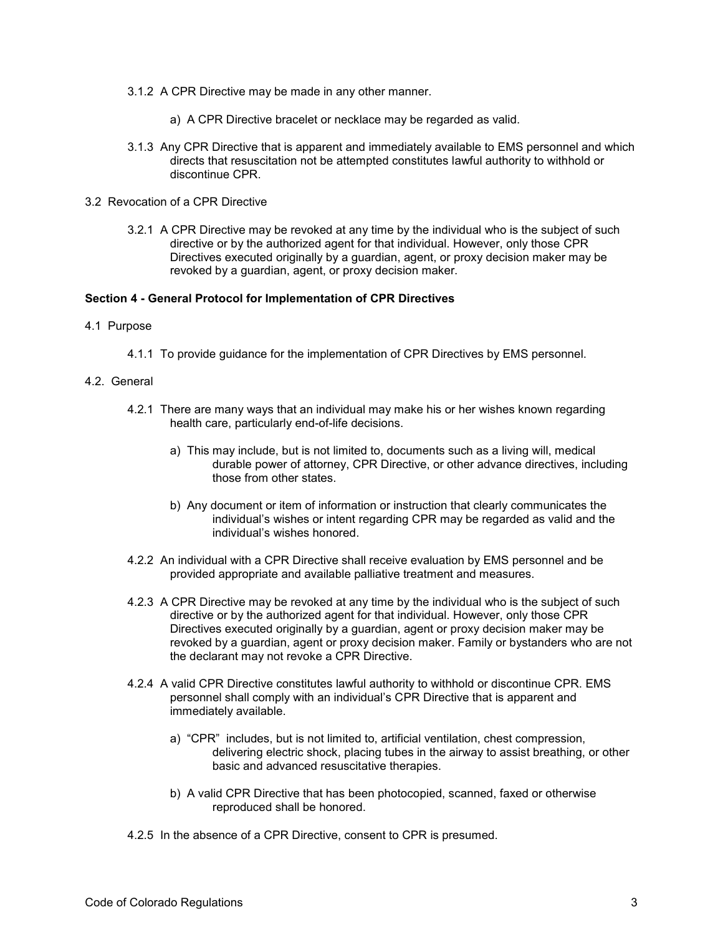- 3.1.2 A CPR Directive may be made in any other manner.
	- a) A CPR Directive bracelet or necklace may be regarded as valid.
- 3.1.3 Any CPR Directive that is apparent and immediately available to EMS personnel and which directs that resuscitation not be attempted constitutes lawful authority to withhold or discontinue CPR.
- 3.2 Revocation of a CPR Directive
	- 3.2.1 A CPR Directive may be revoked at any time by the individual who is the subject of such directive or by the authorized agent for that individual. However, only those CPR Directives executed originally by a guardian, agent, or proxy decision maker may be revoked by a guardian, agent, or proxy decision maker.

### **Section 4 - General Protocol for Implementation of CPR Directives**

- 4.1 Purpose
	- 4.1.1 To provide guidance for the implementation of CPR Directives by EMS personnel.
- 4.2. General
	- 4.2.1 There are many ways that an individual may make his or her wishes known regarding health care, particularly end-of-life decisions.
		- a) This may include, but is not limited to, documents such as a living will, medical durable power of attorney, CPR Directive, or other advance directives, including those from other states.
		- b) Any document or item of information or instruction that clearly communicates the individual's wishes or intent regarding CPR may be regarded as valid and the individual's wishes honored.
	- 4.2.2 An individual with a CPR Directive shall receive evaluation by EMS personnel and be provided appropriate and available palliative treatment and measures.
	- 4.2.3 A CPR Directive may be revoked at any time by the individual who is the subject of such directive or by the authorized agent for that individual. However, only those CPR Directives executed originally by a guardian, agent or proxy decision maker may be revoked by a guardian, agent or proxy decision maker. Family or bystanders who are not the declarant may not revoke a CPR Directive.
	- 4.2.4 A valid CPR Directive constitutes lawful authority to withhold or discontinue CPR. EMS personnel shall comply with an individual's CPR Directive that is apparent and immediately available.
		- a) "CPR" includes, but is not limited to, artificial ventilation, chest compression, delivering electric shock, placing tubes in the airway to assist breathing, or other basic and advanced resuscitative therapies.
		- b) A valid CPR Directive that has been photocopied, scanned, faxed or otherwise reproduced shall be honored.
	- 4.2.5 In the absence of a CPR Directive, consent to CPR is presumed.